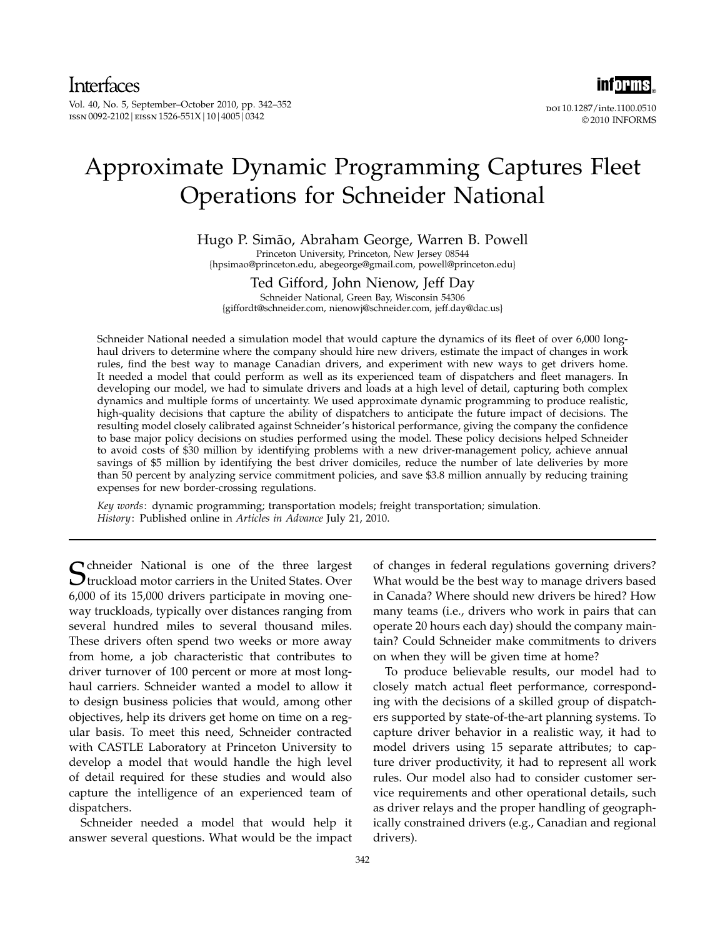Vol. 40, No. 5, September–October 2010, pp. 342–352 issn0092-2102 eissn1526-551X 10 4005 0342

# Approximate Dynamic Programming Captures Fleet Operations for Schneider National

Hugo P. Simão, Abraham George, Warren B. Powell

Princeton University, Princeton, New Jersey 08544 {hpsimao@princeton.edu, abegeorge@gmail.com, powell@princeton.edu}

Ted Gifford, John Nienow, Jeff Day

Schneider National, Green Bay, Wisconsin 54306 {giffordt@schneider.com, nienowj@schneider.com, jeff.day@dac.us}

Schneider National needed a simulation model that would capture the dynamics of its fleet of over 6,000 longhaul drivers to determine where the company should hire new drivers, estimate the impact of changes in work rules, find the best way to manage Canadian drivers, and experiment with new ways to get drivers home. It needed a model that could perform as well as its experienced team of dispatchers and fleet managers. In developing our model, we had to simulate drivers and loads at a high level of detail, capturing both complex dynamics and multiple forms of uncertainty. We used approximate dynamic programming to produce realistic, high-quality decisions that capture the ability of dispatchers to anticipate the future impact of decisions. The resulting model closely calibrated against Schneider's historical performance, giving the company the confidence to base major policy decisions on studies performed using the model. These policy decisions helped Schneider to avoid costs of \$30 million by identifying problems with a new driver-management policy, achieve annual savings of \$5 million by identifying the best driver domiciles, reduce the number of late deliveries by more than 50 percent by analyzing service commitment policies, and save \$3.8 million annually by reducing training expenses for new border-crossing regulations.

Key words: dynamic programming; transportation models; freight transportation; simulation. History: Published online in Articles in Advance July 21, 2010.

Schneider National is one of the three largest<br>
truckload motor carriers in the United States. Over 6,000 of its 15,000 drivers participate in moving oneway truckloads, typically over distances ranging from several hundred miles to several thousand miles. These drivers often spend two weeks or more away from home, a job characteristic that contributes to driver turnover of 100 percent or more at most longhaul carriers. Schneider wanted a model to allow it to design business policies that would, among other objectives, help its drivers get home on time on a regular basis. To meet this need, Schneider contracted with CASTLE Laboratory at Princeton University to develop a model that would handle the high level of detail required for these studies and would also capture the intelligence of an experienced team of dispatchers.

Schneider needed a model that would help it answer several questions. What would be the impact

of changes in federal regulations governing drivers? What would be the best way to manage drivers based in Canada? Where should new drivers be hired? How many teams (i.e., drivers who work in pairs that can operate 20 hours each day) should the company maintain? Could Schneider make commitments to drivers on when they will be given time at home?

To produce believable results, our model had to closely match actual fleet performance, corresponding with the decisions of a skilled group of dispatchers supported by state-of-the-art planning systems. To capture driver behavior in a realistic way, it had to model drivers using 15 separate attributes; to capture driver productivity, it had to represent all work rules. Our model also had to consider customer service requirements and other operational details, such as driver relays and the proper handling of geographically constrained drivers (e.g., Canadian and regional drivers).

doi 10.1287/inte.1100.0510 ©2010 INFORMS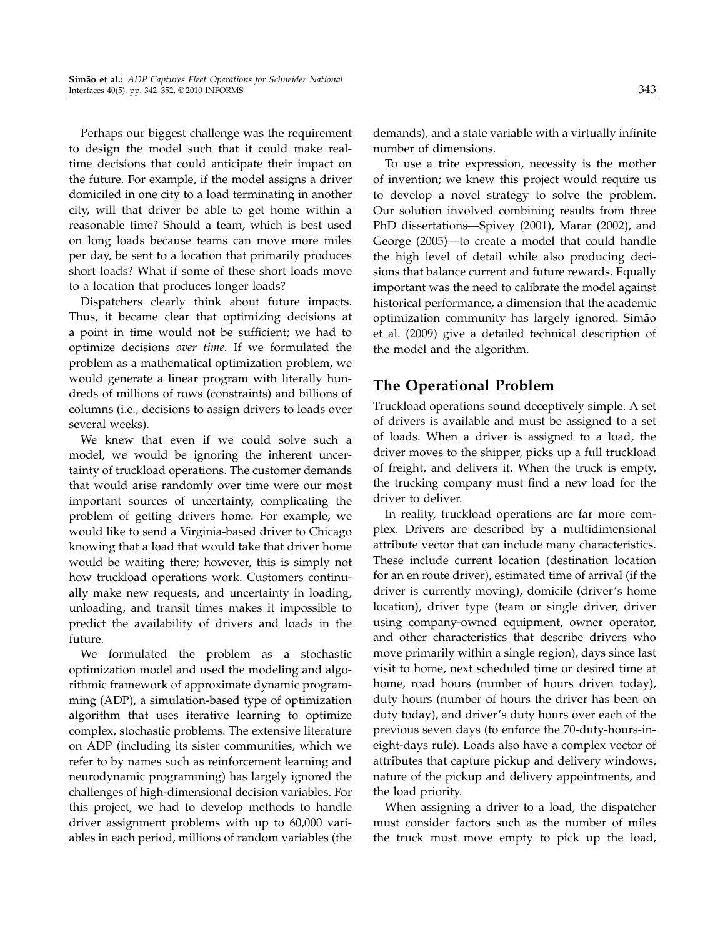Perhaps our biggest challenge was the requirement to design the model such that it could make realtime decisions that could anticipate their impact on the future. For example, if the model assigns a driver domiciled in one city to a load terminating in another city, will that driver be able to get home within a reasonable time? Should a team, which is best used on long loads because teams can move more miles per day, be sent to a location that primarily produces short loads? What if some of these short loads move to a location that produces longer loads?

Dispatchers clearly think about future impacts. Thus, it became clear that optimizing decisions at a point in time would not be sufficient; we had to optimize decisions over time. If we formulated the problem as a mathematical optimization problem, we would generate a linear program with literally hundreds of millions of rows (constraints) and billions of columns (i.e., decisions to assign drivers to loads over several weeks).

We knew that even if we could solve such a model, we would be ignoring the inherent uncertainty of truckload operations. The customer demands that would arise randomly over time were our most important sources of uncertainty, complicating the problem of getting drivers home. For example, we would like to send a Virginia-based driver to Chicago knowing that a load that would take that driver home would be waiting there; however, this is simply not how truckload operations work. Customers continually make new requests, and uncertainty in loading, unloading, and transit times makes it impossible to predict the availability of drivers and loads in the future.

We formulated the problem as a stochastic optimization model and used the modeling and algorithmic framework of approximate dynamic programming (ADP), a simulation-based type of optimization algorithm that uses iterative learning to optimize complex, stochastic problems. The extensive literature on ADP (including its sister communities, which we refer to by names such as reinforcement learning and neurodynamic programming) has largely ignored the challenges of high-dimensional decision variables. For this project, we had to develop methods to handle driver assignment problems with up to 60,000 variables in each period, millions of random variables (the

demands), and a state variable with a virtually infinite number of dimensions.

To use a trite expression, necessity is the mother of invention; we knew this project would require us to develop a novel strategy to solve the problem. Our solution involved combining results from three PhD dissertations—Spivey (2001), Marar (2002), and George (2005)—to create a model that could handle the high level of detail while also producing decisions that balance current and future rewards. Equally important was the need to calibrate the model against historical performance, a dimension that the academic optimization community has largely ignored. Simão et al. (2009) give a detailed technical description of the model and the algorithm.

### The Operational Problem

Truckload operations sound deceptively simple. A set of drivers is available and must be assigned to a set of loads. When a driver is assigned to a load, the driver moves to the shipper, picks up a full truckload of freight, and delivers it. When the truck is empty, the trucking company must find a new load for the driver to deliver.

In reality, truckload operations are far more complex. Drivers are described by a multidimensional attribute vector that can include many characteristics. These include current location (destination location for an en route driver), estimated time of arrival (if the driver is currently moving), domicile (driver's home location), driver type (team or single driver, driver using company-owned equipment, owner operator, and other characteristics that describe drivers who move primarily within a single region), days since last visit to home, next scheduled time or desired time at home, road hours (number of hours driven today), duty hours (number of hours the driver has been on duty today), and driver's duty hours over each of the previous seven days (to enforce the 70-duty-hours-ineight-days rule). Loads also have a complex vector of attributes that capture pickup and delivery windows, nature of the pickup and delivery appointments, and the load priority.

When assigning a driver to a load, the dispatcher must consider factors such as the number of miles the truck must move empty to pick up the load,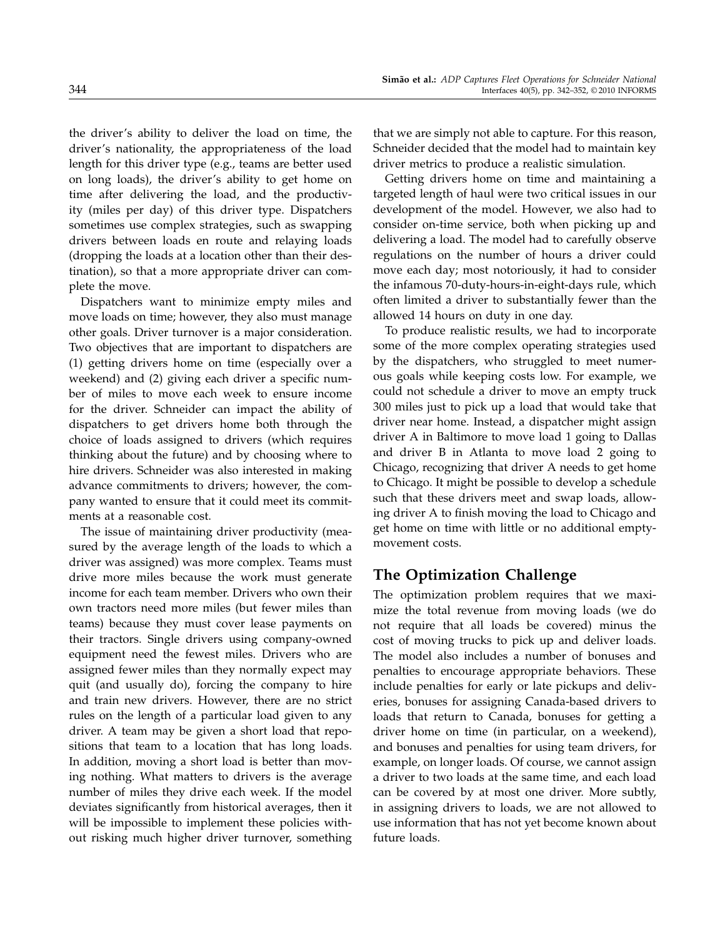the driver's ability to deliver the load on time, the driver's nationality, the appropriateness of the load length for this driver type (e.g., teams are better used on long loads), the driver's ability to get home on time after delivering the load, and the productivity (miles per day) of this driver type. Dispatchers sometimes use complex strategies, such as swapping drivers between loads en route and relaying loads (dropping the loads at a location other than their destination), so that a more appropriate driver can complete the move.

Dispatchers want to minimize empty miles and move loads on time; however, they also must manage other goals. Driver turnover is a major consideration. Two objectives that are important to dispatchers are (1) getting drivers home on time (especially over a weekend) and (2) giving each driver a specific number of miles to move each week to ensure income for the driver. Schneider can impact the ability of dispatchers to get drivers home both through the choice of loads assigned to drivers (which requires thinking about the future) and by choosing where to hire drivers. Schneider was also interested in making advance commitments to drivers; however, the company wanted to ensure that it could meet its commitments at a reasonable cost.

The issue of maintaining driver productivity (measured by the average length of the loads to which a driver was assigned) was more complex. Teams must drive more miles because the work must generate income for each team member. Drivers who own their own tractors need more miles (but fewer miles than teams) because they must cover lease payments on their tractors. Single drivers using company-owned equipment need the fewest miles. Drivers who are assigned fewer miles than they normally expect may quit (and usually do), forcing the company to hire and train new drivers. However, there are no strict rules on the length of a particular load given to any driver. A team may be given a short load that repositions that team to a location that has long loads. In addition, moving a short load is better than moving nothing. What matters to drivers is the average number of miles they drive each week. If the model deviates significantly from historical averages, then it will be impossible to implement these policies without risking much higher driver turnover, something

that we are simply not able to capture. For this reason, Schneider decided that the model had to maintain key driver metrics to produce a realistic simulation.

Getting drivers home on time and maintaining a targeted length of haul were two critical issues in our development of the model. However, we also had to consider on-time service, both when picking up and delivering a load. The model had to carefully observe regulations on the number of hours a driver could move each day; most notoriously, it had to consider the infamous 70-duty-hours-in-eight-days rule, which often limited a driver to substantially fewer than the allowed 14 hours on duty in one day.

To produce realistic results, we had to incorporate some of the more complex operating strategies used by the dispatchers, who struggled to meet numerous goals while keeping costs low. For example, we could not schedule a driver to move an empty truck 300 miles just to pick up a load that would take that driver near home. Instead, a dispatcher might assign driver A in Baltimore to move load 1 going to Dallas and driver B in Atlanta to move load 2 going to Chicago, recognizing that driver A needs to get home to Chicago. It might be possible to develop a schedule such that these drivers meet and swap loads, allowing driver A to finish moving the load to Chicago and get home on time with little or no additional emptymovement costs.

# The Optimization Challenge

The optimization problem requires that we maximize the total revenue from moving loads (we do not require that all loads be covered) minus the cost of moving trucks to pick up and deliver loads. The model also includes a number of bonuses and penalties to encourage appropriate behaviors. These include penalties for early or late pickups and deliveries, bonuses for assigning Canada-based drivers to loads that return to Canada, bonuses for getting a driver home on time (in particular, on a weekend), and bonuses and penalties for using team drivers, for example, on longer loads. Of course, we cannot assign a driver to two loads at the same time, and each load can be covered by at most one driver. More subtly, in assigning drivers to loads, we are not allowed to use information that has not yet become known about future loads.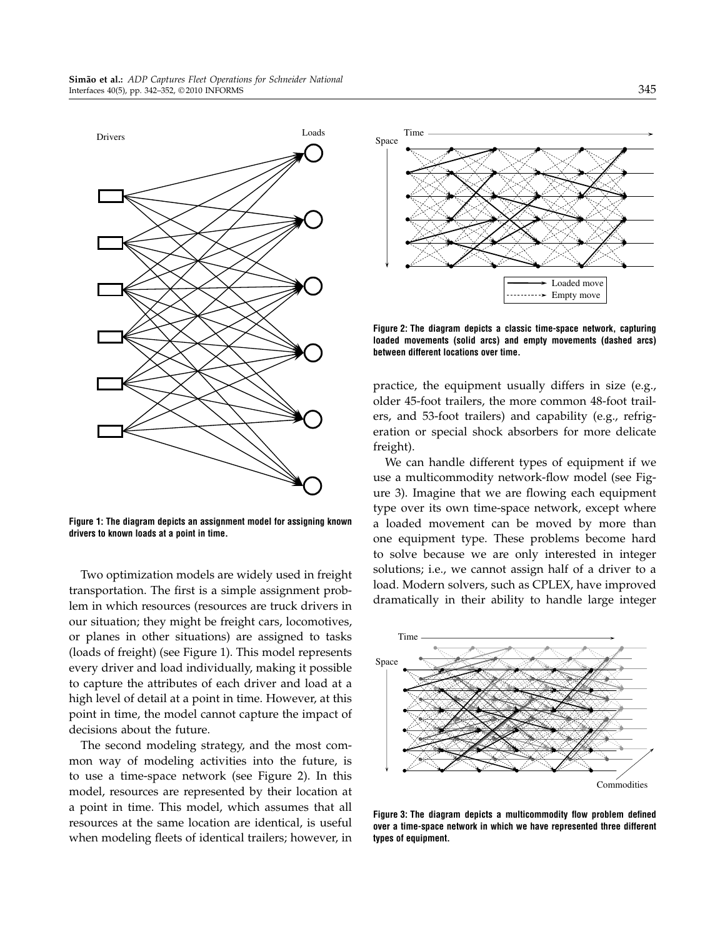

Figure 1: The diagram depicts an assignment model for assigning known drivers to known loads at a point in time.

Two optimization models are widely used in freight transportation. The first is a simple assignment problem in which resources (resources are truck drivers in our situation; they might be freight cars, locomotives, or planes in other situations) are assigned to tasks (loads of freight) (see Figure 1). This model represents every driver and load individually, making it possible to capture the attributes of each driver and load at a high level of detail at a point in time. However, at this point in time, the model cannot capture the impact of decisions about the future.

The second modeling strategy, and the most common way of modeling activities into the future, is to use a time-space network (see Figure 2). In this model, resources are represented by their location at a point in time. This model, which assumes that all resources at the same location are identical, is useful when modeling fleets of identical trailers; however, in



Figure 2: The diagram depicts a classic time-space network, capturing loaded movements (solid arcs) and empty movements (dashed arcs) between different locations over time.

practice, the equipment usually differs in size (e.g., older 45-foot trailers, the more common 48-foot trailers, and 53-foot trailers) and capability (e.g., refrigeration or special shock absorbers for more delicate freight).

We can handle different types of equipment if we use a multicommodity network-flow model (see Figure 3). Imagine that we are flowing each equipment type over its own time-space network, except where a loaded movement can be moved by more than one equipment type. These problems become hard to solve because we are only interested in integer solutions; i.e., we cannot assign half of a driver to a load. Modern solvers, such as CPLEX, have improved dramatically in their ability to handle large integer



Figure 3: The diagram depicts a multicommodity flow problem defined over a time-space network in which we have represented three different types of equipment.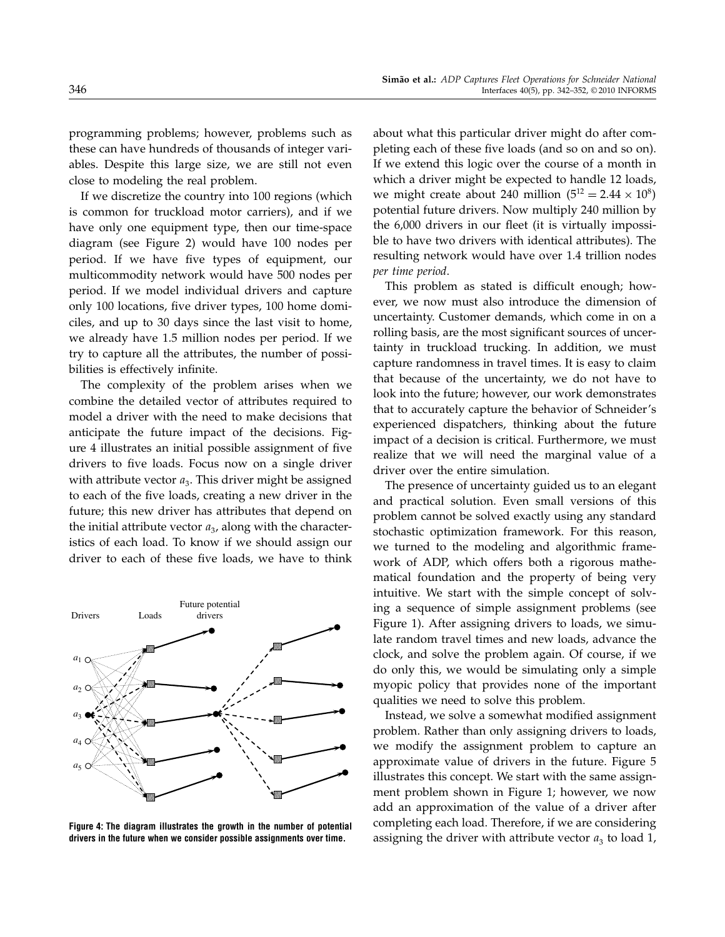programming problems; however, problems such as these can have hundreds of thousands of integer variables. Despite this large size, we are still not even close to modeling the real problem.

If we discretize the country into 100 regions (which is common for truckload motor carriers), and if we have only one equipment type, then our time-space diagram (see Figure 2) would have 100 nodes per period. If we have five types of equipment, our multicommodity network would have 500 nodes per period. If we model individual drivers and capture only 100 locations, five driver types, 100 home domiciles, and up to 30 days since the last visit to home, we already have 1.5 million nodes per period. If we try to capture all the attributes, the number of possibilities is effectively infinite.

The complexity of the problem arises when we combine the detailed vector of attributes required to model a driver with the need to make decisions that anticipate the future impact of the decisions. Figure 4 illustrates an initial possible assignment of five drivers to five loads. Focus now on a single driver with attribute vector  $a_3$ . This driver might be assigned to each of the five loads, creating a new driver in the future; this new driver has attributes that depend on the initial attribute vector  $a_3$ , along with the characteristics of each load. To know if we should assign our driver to each of these five loads, we have to think



Figure 4: The diagram illustrates the growth in the number of potential drivers in the future when we consider possible assignments over time.

about what this particular driver might do after completing each of these five loads (and so on and so on). If we extend this logic over the course of a month in which a driver might be expected to handle 12 loads, we might create about 240 million  $(5^{12} = 2.44 \times 10^8)$ potential future drivers. Now multiply 240 million by the 6,000 drivers in our fleet (it is virtually impossible to have two drivers with identical attributes). The resulting network would have over 1.4 trillion nodes per time period.

This problem as stated is difficult enough; however, we now must also introduce the dimension of uncertainty. Customer demands, which come in on a rolling basis, are the most significant sources of uncertainty in truckload trucking. In addition, we must capture randomness in travel times. It is easy to claim that because of the uncertainty, we do not have to look into the future; however, our work demonstrates that to accurately capture the behavior of Schneider's experienced dispatchers, thinking about the future impact of a decision is critical. Furthermore, we must realize that we will need the marginal value of a driver over the entire simulation.

The presence of uncertainty guided us to an elegant and practical solution. Even small versions of this problem cannot be solved exactly using any standard stochastic optimization framework. For this reason, we turned to the modeling and algorithmic framework of ADP, which offers both a rigorous mathematical foundation and the property of being very intuitive. We start with the simple concept of solving a sequence of simple assignment problems (see Figure 1). After assigning drivers to loads, we simulate random travel times and new loads, advance the clock, and solve the problem again. Of course, if we do only this, we would be simulating only a simple myopic policy that provides none of the important qualities we need to solve this problem.

Instead, we solve a somewhat modified assignment problem. Rather than only assigning drivers to loads, we modify the assignment problem to capture an approximate value of drivers in the future. Figure 5 illustrates this concept. We start with the same assignment problem shown in Figure 1; however, we now add an approximation of the value of a driver after completing each load. Therefore, if we are considering assigning the driver with attribute vector  $a_3$  to load 1,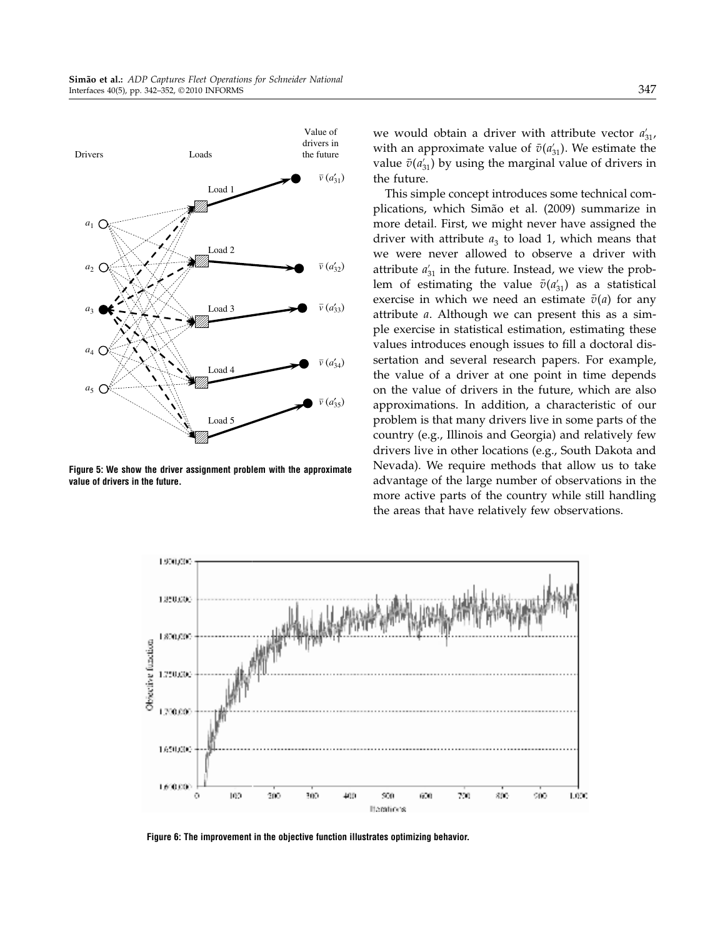

Figure 5: We show the driver assignment problem with the approximate value of drivers in the future.

we would obtain a driver with attribute vector  $a'_{31}$ , with an approximate value of  $\bar{v}(a_{31}^{\prime})$ . We estimate the value  $\bar{v}(a_{31}')$  by using the marginal value of drivers in the future.

This simple concept introduces some technical complications, which Simão et al. (2009) summarize in more detail. First, we might never have assigned the driver with attribute  $a_3$  to load 1, which means that we were never allowed to observe a driver with attribute  $a'_{31}$  in the future. Instead, we view the problem of estimating the value  $\bar{v}(a_{31}')$  as a statistical exercise in which we need an estimate  $\bar{v}(a)$  for any attribute a. Although we can present this as a simple exercise in statistical estimation, estimating these values introduces enough issues to fill a doctoral dissertation and several research papers. For example, the value of a driver at one point in time depends on the value of drivers in the future, which are also approximations. In addition, a characteristic of our problem is that many drivers live in some parts of the country (e.g., Illinois and Georgia) and relatively few drivers live in other locations (e.g., South Dakota and Nevada). We require methods that allow us to take advantage of the large number of observations in the more active parts of the country while still handling the areas that have relatively few observations.



Figure 6: The improvement in the objective function illustrates optimizing behavior.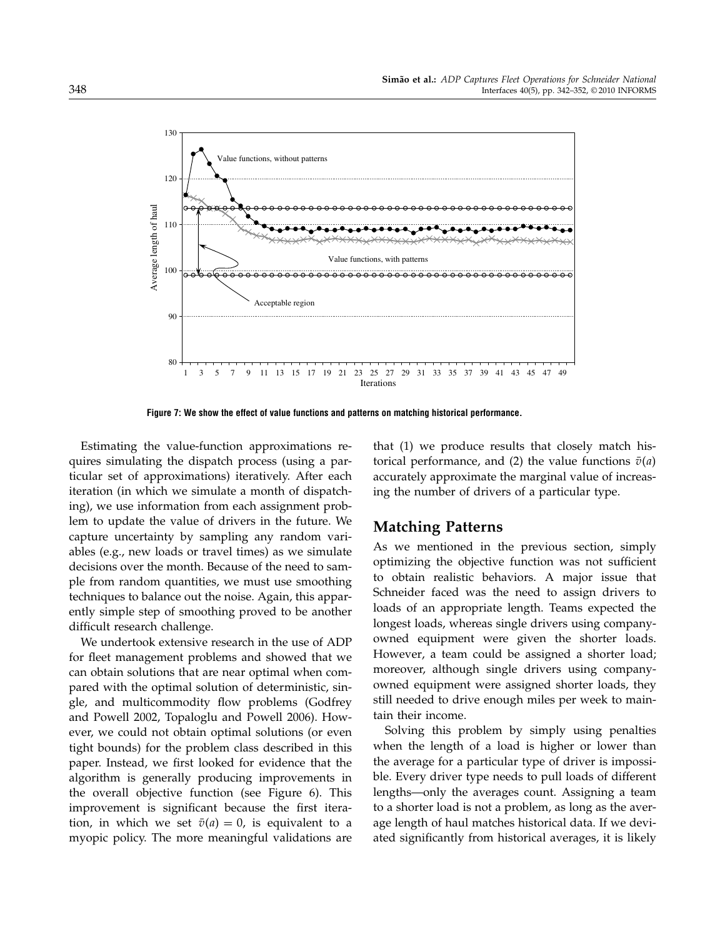

Figure 7: We show the effect of value functions and patterns on matching historical performance.

Estimating the value-function approximations requires simulating the dispatch process (using a particular set of approximations) iteratively. After each iteration (in which we simulate a month of dispatching), we use information from each assignment problem to update the value of drivers in the future. We capture uncertainty by sampling any random variables (e.g., new loads or travel times) as we simulate decisions over the month. Because of the need to sample from random quantities, we must use smoothing techniques to balance out the noise. Again, this apparently simple step of smoothing proved to be another difficult research challenge.

We undertook extensive research in the use of ADP for fleet management problems and showed that we can obtain solutions that are near optimal when compared with the optimal solution of deterministic, single, and multicommodity flow problems (Godfrey and Powell 2002, Topaloglu and Powell 2006). However, we could not obtain optimal solutions (or even tight bounds) for the problem class described in this paper. Instead, we first looked for evidence that the algorithm is generally producing improvements in the overall objective function (see Figure 6). This improvement is significant because the first iteration, in which we set  $\bar{v}(a) = 0$ , is equivalent to a myopic policy. The more meaningful validations are that (1) we produce results that closely match historical performance, and (2) the value functions  $\bar{v}(a)$ accurately approximate the marginal value of increasing the number of drivers of a particular type.

#### Matching Patterns

As we mentioned in the previous section, simply optimizing the objective function was not sufficient to obtain realistic behaviors. A major issue that Schneider faced was the need to assign drivers to loads of an appropriate length. Teams expected the longest loads, whereas single drivers using companyowned equipment were given the shorter loads. However, a team could be assigned a shorter load; moreover, although single drivers using companyowned equipment were assigned shorter loads, they still needed to drive enough miles per week to maintain their income.

Solving this problem by simply using penalties when the length of a load is higher or lower than the average for a particular type of driver is impossible. Every driver type needs to pull loads of different lengths—only the averages count. Assigning a team to a shorter load is not a problem, as long as the average length of haul matches historical data. If we deviated significantly from historical averages, it is likely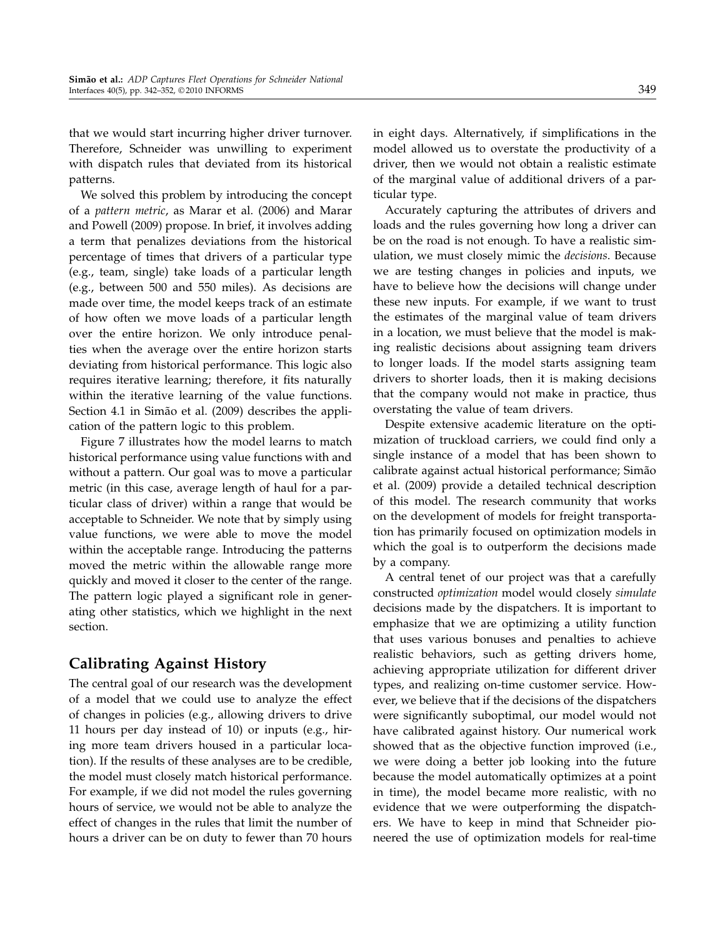that we would start incurring higher driver turnover. Therefore, Schneider was unwilling to experiment with dispatch rules that deviated from its historical patterns.

We solved this problem by introducing the concept of a pattern metric, as Marar et al. (2006) and Marar and Powell (2009) propose. In brief, it involves adding a term that penalizes deviations from the historical percentage of times that drivers of a particular type (e.g., team, single) take loads of a particular length (e.g., between 500 and 550 miles). As decisions are made over time, the model keeps track of an estimate of how often we move loads of a particular length over the entire horizon. We only introduce penalties when the average over the entire horizon starts deviating from historical performance. This logic also requires iterative learning; therefore, it fits naturally within the iterative learning of the value functions. Section 4.1 in Simão et al. (2009) describes the application of the pattern logic to this problem.

Figure 7 illustrates how the model learns to match historical performance using value functions with and without a pattern. Our goal was to move a particular metric (in this case, average length of haul for a particular class of driver) within a range that would be acceptable to Schneider. We note that by simply using value functions, we were able to move the model within the acceptable range. Introducing the patterns moved the metric within the allowable range more quickly and moved it closer to the center of the range. The pattern logic played a significant role in generating other statistics, which we highlight in the next section.

### Calibrating Against History

The central goal of our research was the development of a model that we could use to analyze the effect of changes in policies (e.g., allowing drivers to drive 11 hours per day instead of 10) or inputs (e.g., hiring more team drivers housed in a particular location). If the results of these analyses are to be credible, the model must closely match historical performance. For example, if we did not model the rules governing hours of service, we would not be able to analyze the effect of changes in the rules that limit the number of hours a driver can be on duty to fewer than 70 hours

in eight days. Alternatively, if simplifications in the model allowed us to overstate the productivity of a driver, then we would not obtain a realistic estimate of the marginal value of additional drivers of a particular type.

Accurately capturing the attributes of drivers and loads and the rules governing how long a driver can be on the road is not enough. To have a realistic simulation, we must closely mimic the decisions. Because we are testing changes in policies and inputs, we have to believe how the decisions will change under these new inputs. For example, if we want to trust the estimates of the marginal value of team drivers in a location, we must believe that the model is making realistic decisions about assigning team drivers to longer loads. If the model starts assigning team drivers to shorter loads, then it is making decisions that the company would not make in practice, thus overstating the value of team drivers.

Despite extensive academic literature on the optimization of truckload carriers, we could find only a single instance of a model that has been shown to calibrate against actual historical performance; Simão et al. (2009) provide a detailed technical description of this model. The research community that works on the development of models for freight transportation has primarily focused on optimization models in which the goal is to outperform the decisions made by a company.

A central tenet of our project was that a carefully constructed optimization model would closely simulate decisions made by the dispatchers. It is important to emphasize that we are optimizing a utility function that uses various bonuses and penalties to achieve realistic behaviors, such as getting drivers home, achieving appropriate utilization for different driver types, and realizing on-time customer service. However, we believe that if the decisions of the dispatchers were significantly suboptimal, our model would not have calibrated against history. Our numerical work showed that as the objective function improved (i.e., we were doing a better job looking into the future because the model automatically optimizes at a point in time), the model became more realistic, with no evidence that we were outperforming the dispatchers. We have to keep in mind that Schneider pioneered the use of optimization models for real-time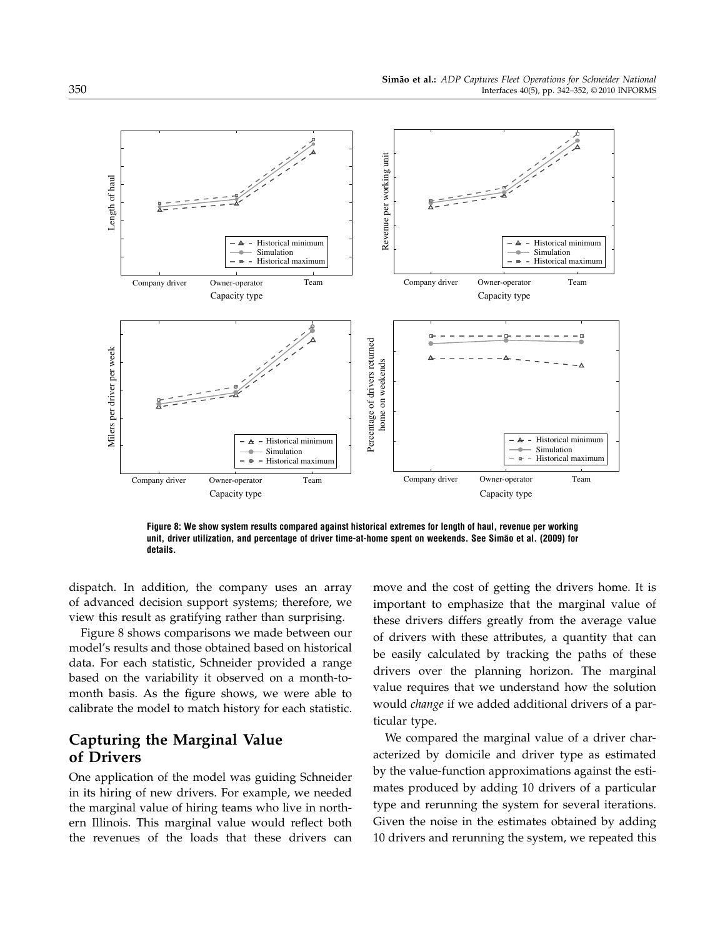

Figure 8: We show system results compared against historical extremes for length of haul, revenue per working unit, driver utilization, and percentage of driver time-at-home spent on weekends. See Simão et al. (2009) for details.

dispatch. In addition, the company uses an array of advanced decision support systems; therefore, we view this result as gratifying rather than surprising.

Figure 8 shows comparisons we made between our model's results and those obtained based on historical data. For each statistic, Schneider provided a range based on the variability it observed on a month-tomonth basis. As the figure shows, we were able to calibrate the model to match history for each statistic.

# Capturing the Marginal Value of Drivers

One application of the model was guiding Schneider in its hiring of new drivers. For example, we needed the marginal value of hiring teams who live in northern Illinois. This marginal value would reflect both the revenues of the loads that these drivers can

move and the cost of getting the drivers home. It is important to emphasize that the marginal value of these drivers differs greatly from the average value of drivers with these attributes, a quantity that can be easily calculated by tracking the paths of these drivers over the planning horizon. The marginal value requires that we understand how the solution would change if we added additional drivers of a particular type.

We compared the marginal value of a driver characterized by domicile and driver type as estimated by the value-function approximations against the estimates produced by adding 10 drivers of a particular type and rerunning the system for several iterations. Given the noise in the estimates obtained by adding 10 drivers and rerunning the system, we repeated this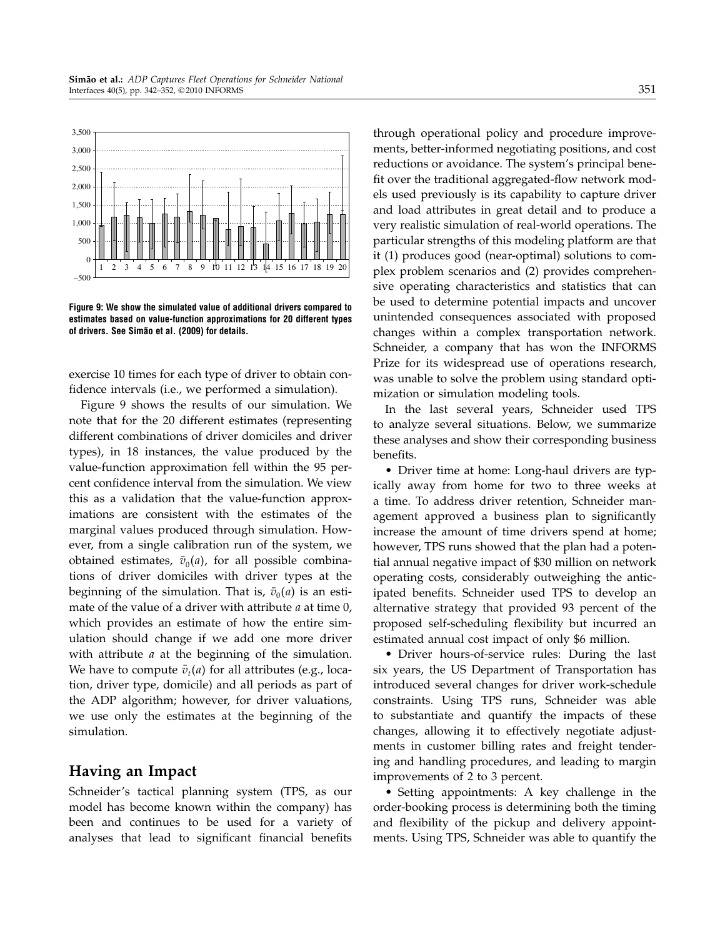

Figure 9: We show the simulated value of additional drivers compared to estimates based on value-function approximations for 20 different types of drivers. See Simão et al. (2009) for details.

exercise 10 times for each type of driver to obtain confidence intervals (i.e., we performed a simulation).

Figure 9 shows the results of our simulation. We note that for the 20 different estimates (representing different combinations of driver domiciles and driver types), in 18 instances, the value produced by the value-function approximation fell within the 95 percent confidence interval from the simulation. We view this as a validation that the value-function approximations are consistent with the estimates of the marginal values produced through simulation. However, from a single calibration run of the system, we obtained estimates,  $\bar{v}_0(a)$ , for all possible combinations of driver domiciles with driver types at the beginning of the simulation. That is,  $\bar{v}_0(a)$  is an estimate of the value of a driver with attribute a at time 0, which provides an estimate of how the entire simulation should change if we add one more driver with attribute *a* at the beginning of the simulation. We have to compute  $\bar{v}_t(a)$  for all attributes (e.g., location, driver type, domicile) and all periods as part of the ADP algorithm; however, for driver valuations, we use only the estimates at the beginning of the simulation.

#### Having an Impact

Schneider's tactical planning system (TPS, as our model has become known within the company) has been and continues to be used for a variety of analyses that lead to significant financial benefits

through operational policy and procedure improvements, better-informed negotiating positions, and cost reductions or avoidance. The system's principal benefit over the traditional aggregated-flow network models used previously is its capability to capture driver and load attributes in great detail and to produce a very realistic simulation of real-world operations. The particular strengths of this modeling platform are that it (1) produces good (near-optimal) solutions to complex problem scenarios and (2) provides comprehensive operating characteristics and statistics that can be used to determine potential impacts and uncover unintended consequences associated with proposed changes within a complex transportation network. Schneider, a company that has won the INFORMS Prize for its widespread use of operations research, was unable to solve the problem using standard optimization or simulation modeling tools.

In the last several years, Schneider used TPS to analyze several situations. Below, we summarize these analyses and show their corresponding business benefits.

• Driver time at home: Long-haul drivers are typically away from home for two to three weeks at a time. To address driver retention, Schneider management approved a business plan to significantly increase the amount of time drivers spend at home; however, TPS runs showed that the plan had a potential annual negative impact of \$30 million on network operating costs, considerably outweighing the anticipated benefits. Schneider used TPS to develop an alternative strategy that provided 93 percent of the proposed self-scheduling flexibility but incurred an estimated annual cost impact of only \$6 million.

• Driver hours-of-service rules: During the last six years, the US Department of Transportation has introduced several changes for driver work-schedule constraints. Using TPS runs, Schneider was able to substantiate and quantify the impacts of these changes, allowing it to effectively negotiate adjustments in customer billing rates and freight tendering and handling procedures, and leading to margin improvements of 2 to 3 percent.

• Setting appointments: A key challenge in the order-booking process is determining both the timing and flexibility of the pickup and delivery appointments. Using TPS, Schneider was able to quantify the